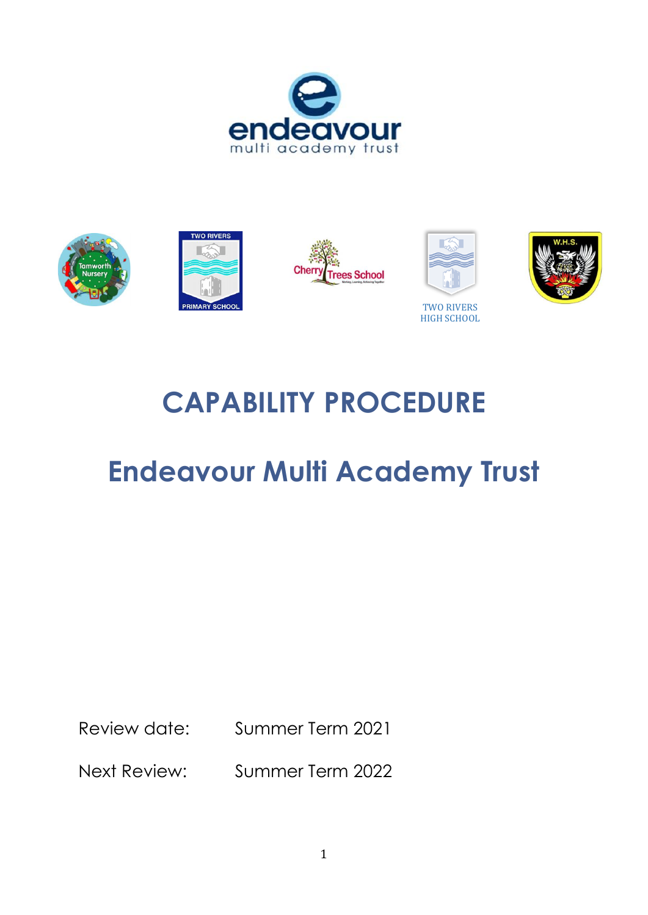





# **CAPABILITY PROCEDURE**

# **Endeavour Multi Academy Trust**

Review date: Summer Term 2021

Next Review: Summer Term 2022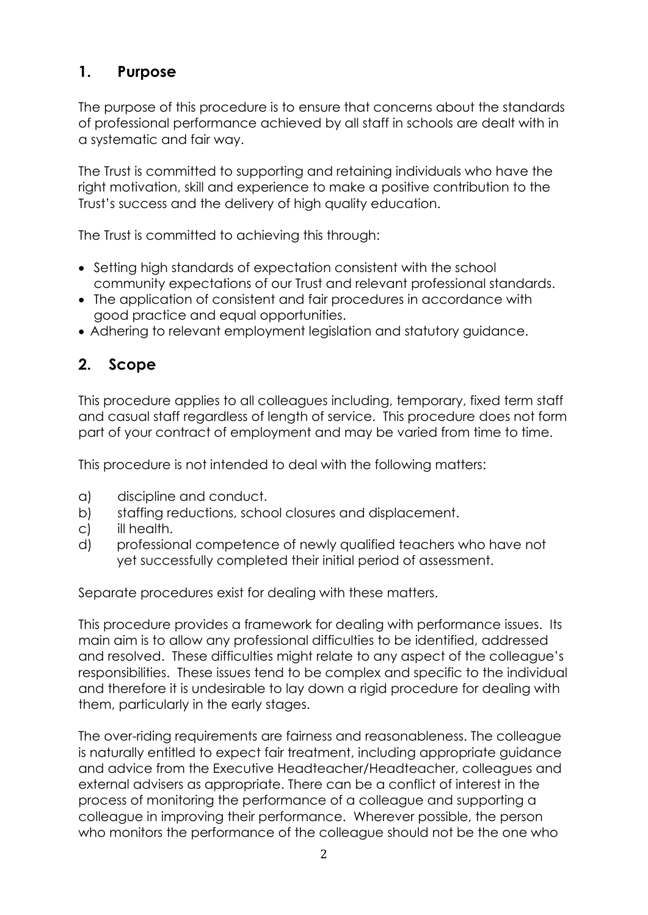# **1. Purpose**

The purpose of this procedure is to ensure that concerns about the standards of professional performance achieved by all staff in schools are dealt with in a systematic and fair way.

The Trust is committed to supporting and retaining individuals who have the right motivation, skill and experience to make a positive contribution to the Trust's success and the delivery of high quality education.

The Trust is committed to achieving this through:

- Setting high standards of expectation consistent with the school community expectations of our Trust and relevant professional standards.
- The application of consistent and fair procedures in accordance with good practice and equal opportunities.
- Adhering to relevant employment legislation and statutory guidance.

# **2. Scope**

This procedure applies to all colleagues including, temporary, fixed term staff and casual staff regardless of length of service. This procedure does not form part of your contract of employment and may be varied from time to time.

This procedure is not intended to deal with the following matters:

- a) discipline and conduct.
- b) staffing reductions, school closures and displacement.
- c) ill health.
- d) professional competence of newly qualified teachers who have not yet successfully completed their initial period of assessment.

Separate procedures exist for dealing with these matters.

This procedure provides a framework for dealing with performance issues. Its main aim is to allow any professional difficulties to be identified, addressed and resolved. These difficulties might relate to any aspect of the colleague's responsibilities. These issues tend to be complex and specific to the individual and therefore it is undesirable to lay down a rigid procedure for dealing with them, particularly in the early stages.

The over-riding requirements are fairness and reasonableness. The colleague is naturally entitled to expect fair treatment, including appropriate guidance and advice from the Executive Headteacher/Headteacher, colleagues and external advisers as appropriate. There can be a conflict of interest in the process of monitoring the performance of a colleague and supporting a colleague in improving their performance. Wherever possible, the person who monitors the performance of the colleague should not be the one who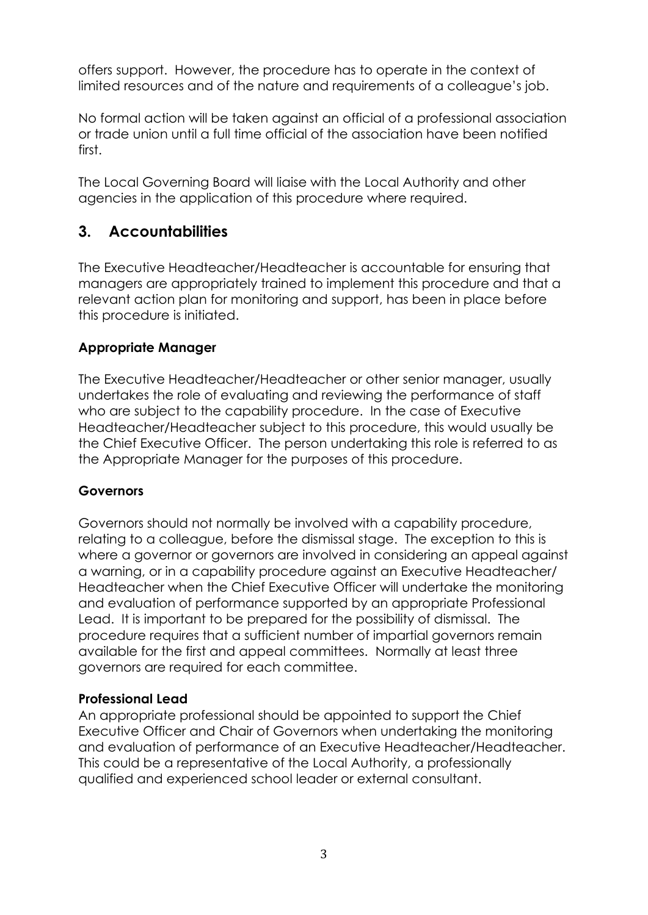offers support. However, the procedure has to operate in the context of limited resources and of the nature and requirements of a colleague's job.

No formal action will be taken against an official of a professional association or trade union until a full time official of the association have been notified first.

The Local Governing Board will liaise with the Local Authority and other agencies in the application of this procedure where required.

## **3. Accountabilities**

The Executive Headteacher/Headteacher is accountable for ensuring that managers are appropriately trained to implement this procedure and that a relevant action plan for monitoring and support, has been in place before this procedure is initiated.

#### **Appropriate Manager**

The Executive Headteacher/Headteacher or other senior manager, usually undertakes the role of evaluating and reviewing the performance of staff who are subject to the capability procedure. In the case of Executive Headteacher/Headteacher subject to this procedure, this would usually be the Chief Executive Officer. The person undertaking this role is referred to as the Appropriate Manager for the purposes of this procedure.

#### **Governors**

Governors should not normally be involved with a capability procedure, relating to a colleague, before the dismissal stage. The exception to this is where a governor or governors are involved in considering an appeal against a warning, or in a capability procedure against an Executive Headteacher/ Headteacher when the Chief Executive Officer will undertake the monitoring and evaluation of performance supported by an appropriate Professional Lead. It is important to be prepared for the possibility of dismissal. The procedure requires that a sufficient number of impartial governors remain available for the first and appeal committees. Normally at least three governors are required for each committee.

#### **Professional Lead**

An appropriate professional should be appointed to support the Chief Executive Officer and Chair of Governors when undertaking the monitoring and evaluation of performance of an Executive Headteacher/Headteacher. This could be a representative of the Local Authority, a professionally qualified and experienced school leader or external consultant.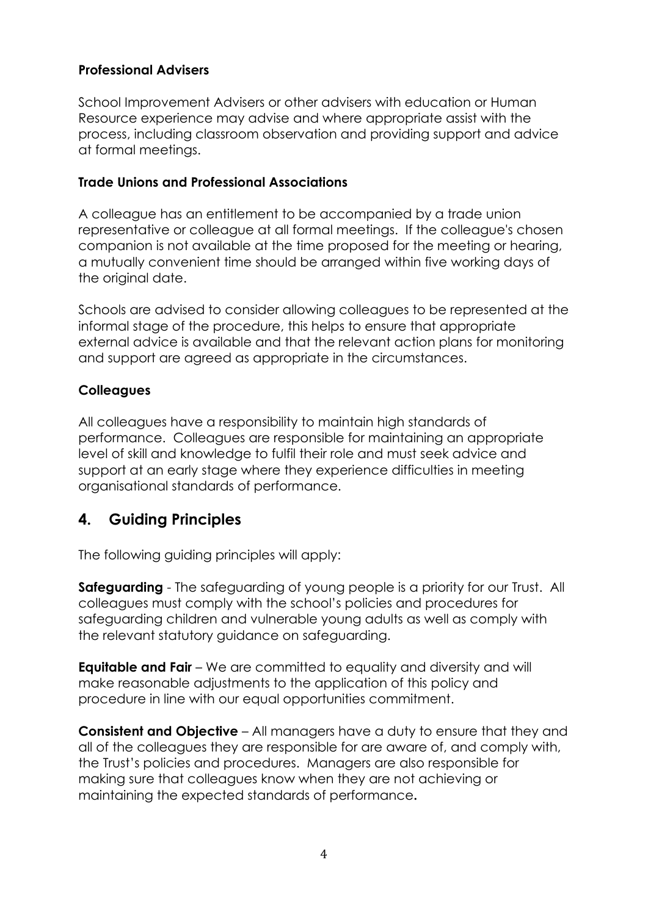#### **Professional Advisers**

School Improvement Advisers or other advisers with education or Human Resource experience may advise and where appropriate assist with the process, including classroom observation and providing support and advice at formal meetings.

#### **Trade Unions and Professional Associations**

A colleague has an entitlement to be accompanied by a trade union representative or colleague at all formal meetings. If the colleague's chosen companion is not available at the time proposed for the meeting or hearing, a mutually convenient time should be arranged within five working days of the original date.

Schools are advised to consider allowing colleagues to be represented at the informal stage of the procedure, this helps to ensure that appropriate external advice is available and that the relevant action plans for monitoring and support are agreed as appropriate in the circumstances.

#### **Colleagues**

All colleagues have a responsibility to maintain high standards of performance. Colleagues are responsible for maintaining an appropriate level of skill and knowledge to fulfil their role and must seek advice and support at an early stage where they experience difficulties in meeting organisational standards of performance.

## **4. Guiding Principles**

The following guiding principles will apply:

**Safeguarding** - The safeguarding of young people is a priority for our Trust. All colleagues must comply with the school's policies and procedures for safeguarding children and vulnerable young adults as well as comply with the relevant statutory guidance on safeguarding.

**Equitable and Fair** – We are committed to equality and diversity and will make reasonable adjustments to the application of this policy and procedure in line with our equal opportunities commitment.

**Consistent and Objective** – All managers have a duty to ensure that they and all of the colleagues they are responsible for are aware of, and comply with, the Trust's policies and procedures. Managers are also responsible for making sure that colleagues know when they are not achieving or maintaining the expected standards of performance**.**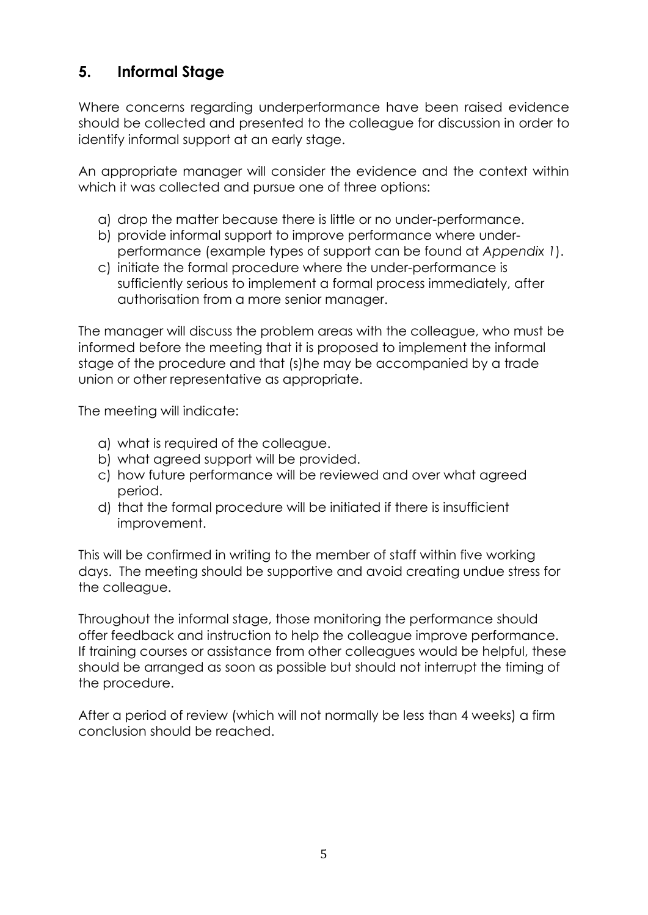# **5. Informal Stage**

Where concerns regarding underperformance have been raised evidence should be collected and presented to the colleague for discussion in order to identify informal support at an early stage.

An appropriate manager will consider the evidence and the context within which it was collected and pursue one of three options:

- a) drop the matter because there is little or no under-performance.
- b) provide informal support to improve performance where underperformance (example types of support can be found at *Appendix 1*).
- c) initiate the formal procedure where the under-performance is sufficiently serious to implement a formal process immediately, after authorisation from a more senior manager.

The manager will discuss the problem areas with the colleague, who must be informed before the meeting that it is proposed to implement the informal stage of the procedure and that (s)he may be accompanied by a trade union or other representative as appropriate.

The meeting will indicate:

- a) what is required of the colleague.
- b) what agreed support will be provided.
- c) how future performance will be reviewed and over what agreed period.
- d) that the formal procedure will be initiated if there is insufficient improvement.

This will be confirmed in writing to the member of staff within five working days. The meeting should be supportive and avoid creating undue stress for the colleague.

Throughout the informal stage, those monitoring the performance should offer feedback and instruction to help the colleague improve performance. If training courses or assistance from other colleagues would be helpful, these should be arranged as soon as possible but should not interrupt the timing of the procedure.

After a period of review (which will not normally be less than 4 weeks) a firm conclusion should be reached.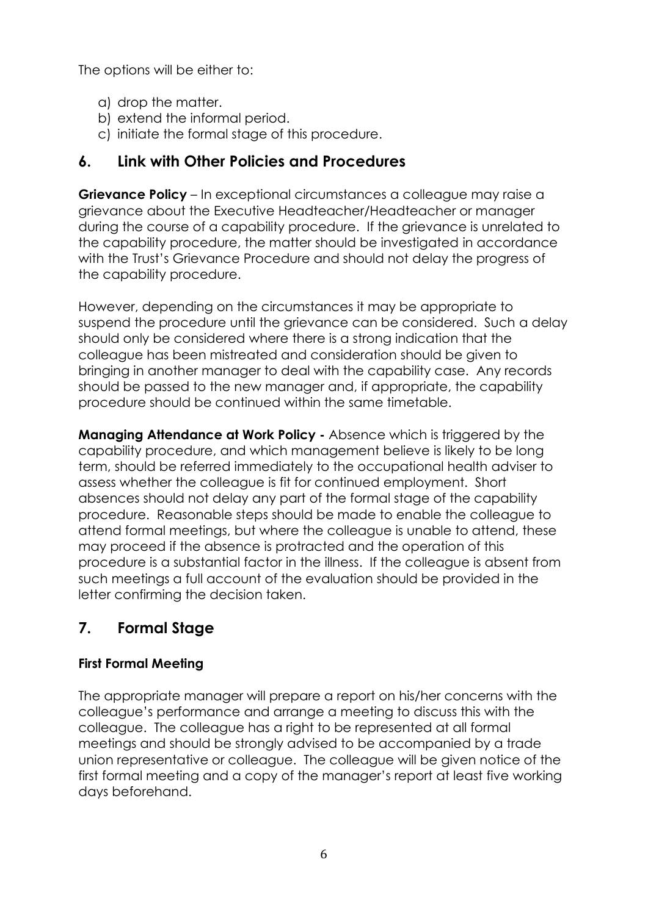The options will be either to:

- a) drop the matter.
- b) extend the informal period.
- c) initiate the formal stage of this procedure.

## **6. Link with Other Policies and Procedures**

**Grievance Policy** – In exceptional circumstances a colleague may raise a grievance about the Executive Headteacher/Headteacher or manager during the course of a capability procedure. If the grievance is unrelated to the capability procedure, the matter should be investigated in accordance with the Trust's Grievance Procedure and should not delay the progress of the capability procedure.

However, depending on the circumstances it may be appropriate to suspend the procedure until the grievance can be considered. Such a delay should only be considered where there is a strong indication that the colleague has been mistreated and consideration should be given to bringing in another manager to deal with the capability case. Any records should be passed to the new manager and, if appropriate, the capability procedure should be continued within the same timetable.

**Managing Attendance at Work Policy -** Absence which is triggered by the capability procedure, and which management believe is likely to be long term, should be referred immediately to the occupational health adviser to assess whether the colleague is fit for continued employment. Short absences should not delay any part of the formal stage of the capability procedure. Reasonable steps should be made to enable the colleague to attend formal meetings, but where the colleague is unable to attend, these may proceed if the absence is protracted and the operation of this procedure is a substantial factor in the illness. If the colleague is absent from such meetings a full account of the evaluation should be provided in the letter confirming the decision taken.

# **7. Formal Stage**

#### **First Formal Meeting**

The appropriate manager will prepare a report on his/her concerns with the colleague's performance and arrange a meeting to discuss this with the colleague. The colleague has a right to be represented at all formal meetings and should be strongly advised to be accompanied by a trade union representative or colleague. The colleague will be given notice of the first formal meeting and a copy of the manager's report at least five working days beforehand.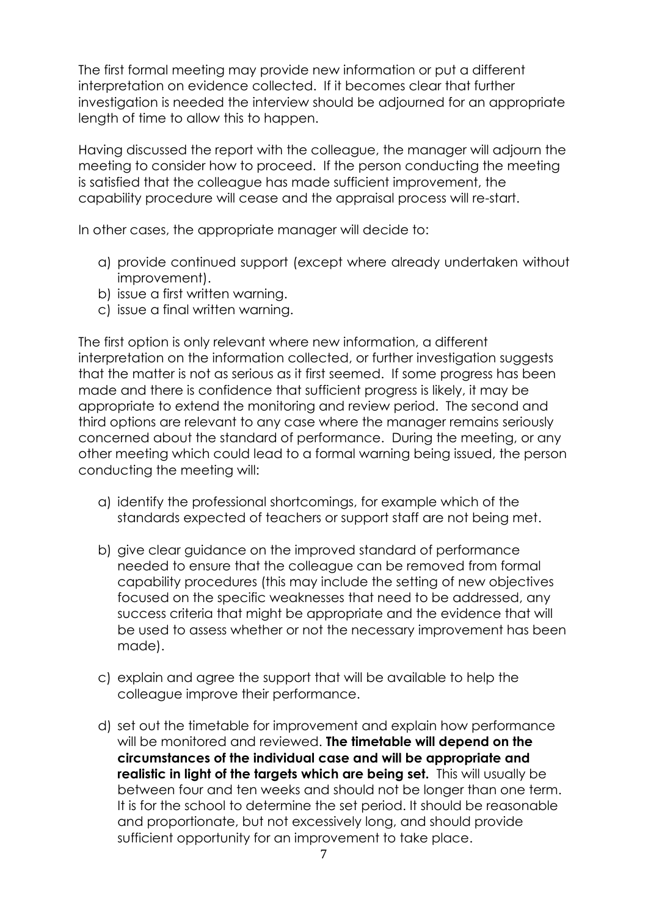The first formal meeting may provide new information or put a different interpretation on evidence collected. If it becomes clear that further investigation is needed the interview should be adjourned for an appropriate length of time to allow this to happen.

Having discussed the report with the colleague, the manager will adjourn the meeting to consider how to proceed. If the person conducting the meeting is satisfied that the colleague has made sufficient improvement, the capability procedure will cease and the appraisal process will re-start.

In other cases, the appropriate manager will decide to:

- a) provide continued support (except where already undertaken without improvement).
- b) issue a first written warning.
- c) issue a final written warning.

The first option is only relevant where new information, a different interpretation on the information collected, or further investigation suggests that the matter is not as serious as it first seemed. If some progress has been made and there is confidence that sufficient progress is likely, it may be appropriate to extend the monitoring and review period. The second and third options are relevant to any case where the manager remains seriously concerned about the standard of performance. During the meeting, or any other meeting which could lead to a formal warning being issued, the person conducting the meeting will:

- a) identify the professional shortcomings, for example which of the standards expected of teachers or support staff are not being met.
- b) give clear guidance on the improved standard of performance needed to ensure that the colleague can be removed from formal capability procedures (this may include the setting of new objectives focused on the specific weaknesses that need to be addressed, any success criteria that might be appropriate and the evidence that will be used to assess whether or not the necessary improvement has been made).
- c) explain and agree the support that will be available to help the colleague improve their performance.
- d) set out the timetable for improvement and explain how performance will be monitored and reviewed. **The timetable will depend on the circumstances of the individual case and will be appropriate and realistic in light of the targets which are being set.** This will usually be between four and ten weeks and should not be longer than one term. It is for the school to determine the set period. It should be reasonable and proportionate, but not excessively long, and should provide sufficient opportunity for an improvement to take place.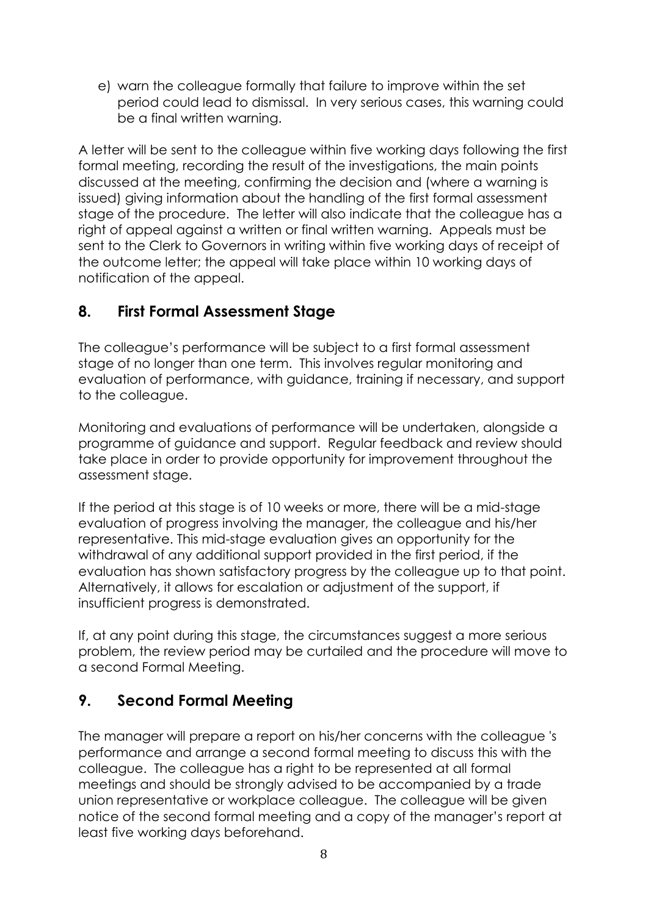e) warn the colleague formally that failure to improve within the set period could lead to dismissal. In very serious cases, this warning could be a final written warning.

A letter will be sent to the colleague within five working days following the first formal meeting, recording the result of the investigations, the main points discussed at the meeting, confirming the decision and (where a warning is issued) giving information about the handling of the first formal assessment stage of the procedure. The letter will also indicate that the colleague has a right of appeal against a written or final written warning. Appeals must be sent to the Clerk to Governors in writing within five working days of receipt of the outcome letter; the appeal will take place within 10 working days of notification of the appeal.

## **8. First Formal Assessment Stage**

The colleague's performance will be subject to a first formal assessment stage of no longer than one term. This involves regular monitoring and evaluation of performance, with guidance, training if necessary, and support to the colleague.

Monitoring and evaluations of performance will be undertaken, alongside a programme of guidance and support. Regular feedback and review should take place in order to provide opportunity for improvement throughout the assessment stage.

If the period at this stage is of 10 weeks or more, there will be a mid-stage evaluation of progress involving the manager, the colleague and his/her representative. This mid-stage evaluation gives an opportunity for the withdrawal of any additional support provided in the first period, if the evaluation has shown satisfactory progress by the colleague up to that point. Alternatively, it allows for escalation or adjustment of the support, if insufficient progress is demonstrated.

If, at any point during this stage, the circumstances suggest a more serious problem, the review period may be curtailed and the procedure will move to a second Formal Meeting.

# **9. Second Formal Meeting**

The manager will prepare a report on his/her concerns with the colleague 's performance and arrange a second formal meeting to discuss this with the colleague. The colleague has a right to be represented at all formal meetings and should be strongly advised to be accompanied by a trade union representative or workplace colleague. The colleague will be given notice of the second formal meeting and a copy of the manager's report at least five working days beforehand.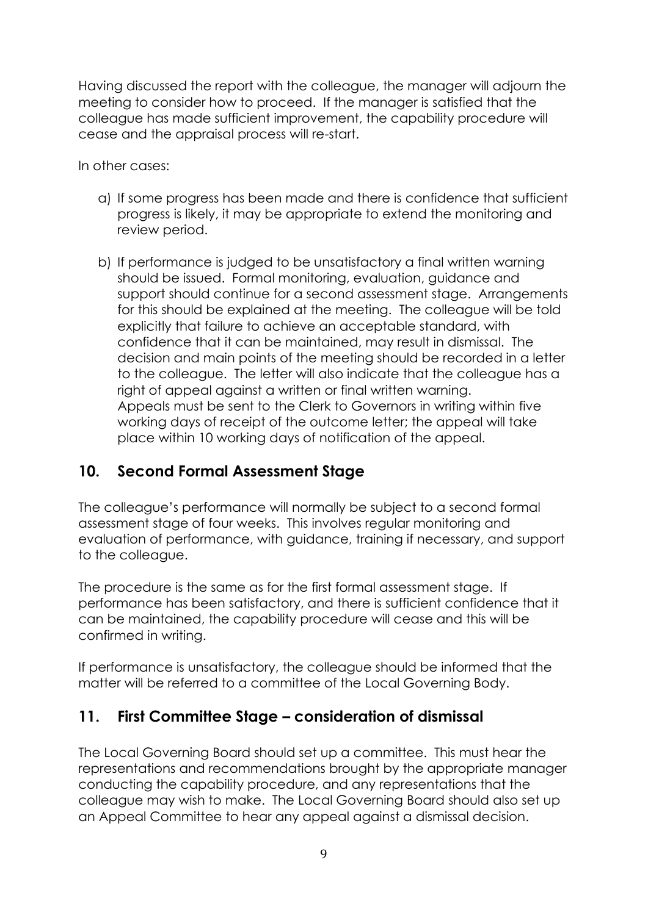Having discussed the report with the colleague, the manager will adjourn the meeting to consider how to proceed. If the manager is satisfied that the colleague has made sufficient improvement, the capability procedure will cease and the appraisal process will re-start.

In other cases:

- a) If some progress has been made and there is confidence that sufficient progress is likely, it may be appropriate to extend the monitoring and review period.
- b) If performance is judged to be unsatisfactory a final written warning should be issued. Formal monitoring, evaluation, guidance and support should continue for a second assessment stage. Arrangements for this should be explained at the meeting. The colleague will be told explicitly that failure to achieve an acceptable standard, with confidence that it can be maintained, may result in dismissal. The decision and main points of the meeting should be recorded in a letter to the colleague. The letter will also indicate that the colleague has a right of appeal against a written or final written warning. Appeals must be sent to the Clerk to Governors in writing within five working days of receipt of the outcome letter; the appeal will take place within 10 working days of notification of the appeal.

## **10. Second Formal Assessment Stage**

The colleague's performance will normally be subject to a second formal assessment stage of four weeks. This involves regular monitoring and evaluation of performance, with guidance, training if necessary, and support to the colleague.

The procedure is the same as for the first formal assessment stage. If performance has been satisfactory, and there is sufficient confidence that it can be maintained, the capability procedure will cease and this will be confirmed in writing.

If performance is unsatisfactory, the colleague should be informed that the matter will be referred to a committee of the Local Governing Body.

## **11. First Committee Stage – consideration of dismissal**

The Local Governing Board should set up a committee. This must hear the representations and recommendations brought by the appropriate manager conducting the capability procedure, and any representations that the colleague may wish to make. The Local Governing Board should also set up an Appeal Committee to hear any appeal against a dismissal decision.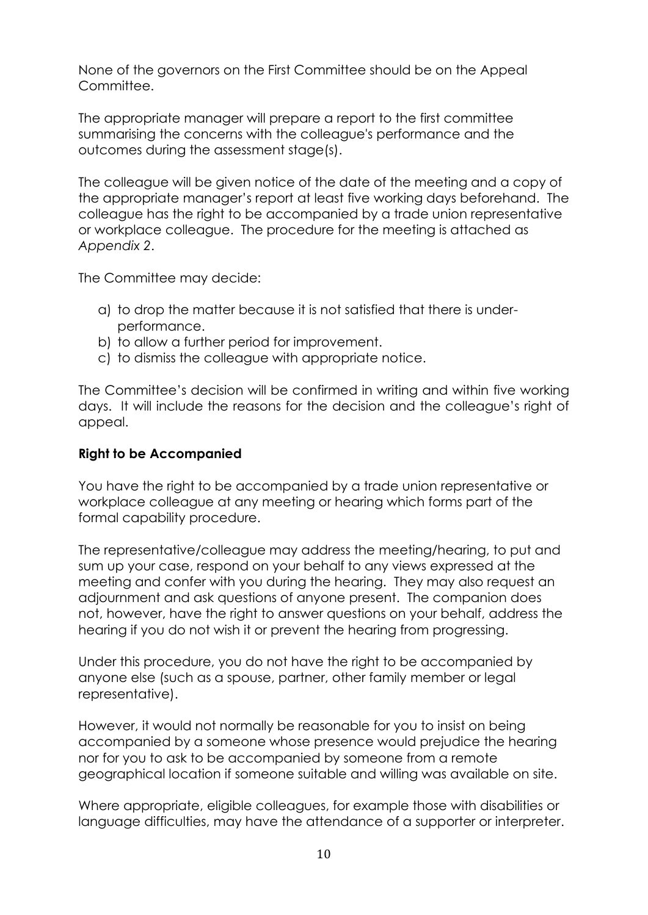None of the governors on the First Committee should be on the Appeal Committee.

The appropriate manager will prepare a report to the first committee summarising the concerns with the colleague's performance and the outcomes during the assessment stage(s).

The colleague will be given notice of the date of the meeting and a copy of the appropriate manager's report at least five working days beforehand. The colleague has the right to be accompanied by a trade union representative or workplace colleague. The procedure for the meeting is attached as *Appendix 2*.

The Committee may decide:

- a) to drop the matter because it is not satisfied that there is underperformance.
- b) to allow a further period for improvement.
- c) to dismiss the colleague with appropriate notice.

The Committee's decision will be confirmed in writing and within five working days. It will include the reasons for the decision and the colleague's right of appeal.

#### **Right to be Accompanied**

You have the right to be accompanied by a trade union representative or workplace colleague at any meeting or hearing which forms part of the formal capability procedure.

The representative/colleague may address the meeting/hearing, to put and sum up your case, respond on your behalf to any views expressed at the meeting and confer with you during the hearing. They may also request an adjournment and ask questions of anyone present. The companion does not, however, have the right to answer questions on your behalf, address the hearing if you do not wish it or prevent the hearing from progressing.

Under this procedure, you do not have the right to be accompanied by anyone else (such as a spouse, partner, other family member or legal representative).

However, it would not normally be reasonable for you to insist on being accompanied by a someone whose presence would prejudice the hearing nor for you to ask to be accompanied by someone from a remote geographical location if someone suitable and willing was available on site.

Where appropriate, eligible colleagues, for example those with disabilities or language difficulties, may have the attendance of a supporter or interpreter.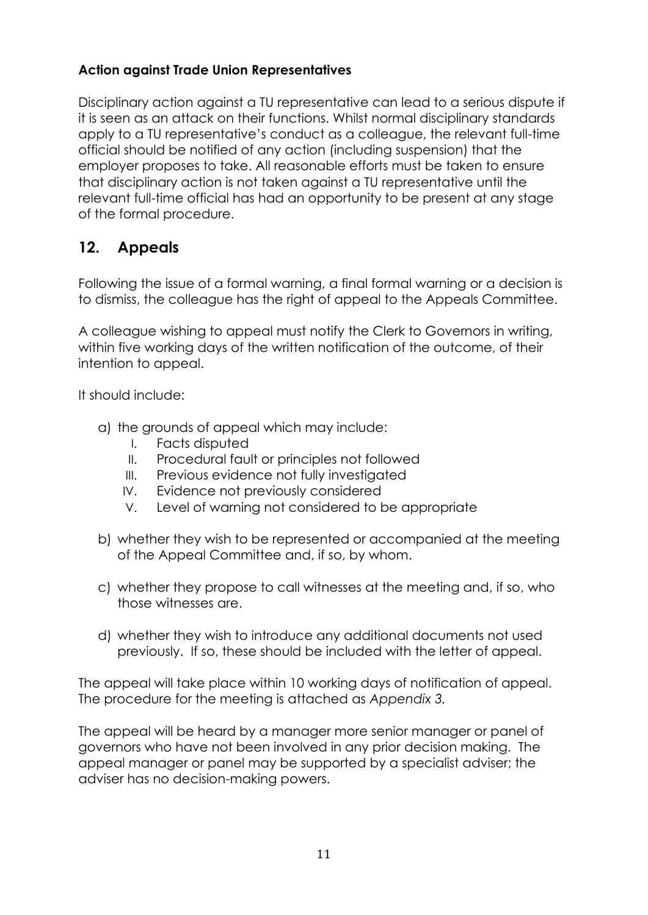#### **Action against Trade Union Representatives**

Disciplinary action against a TU representative can lead to a serious dispute if it is seen as an attack on their functions. Whilst normal disciplinary standards apply to a TU representative's conduct as a colleague, the relevant full-time official should be notified of any action (including suspension) that the employer proposes to take. All reasonable efforts must be taken to ensure that disciplinary action is not taken against a TU representative until the relevant full-time official has had an opportunity to be present at any stage of the formal procedure.

# **12. Appeals**

Following the issue of a formal warning, a final formal warning or a decision is to dismiss, the colleague has the right of appeal to the Appeals Committee.

A colleague wishing to appeal must notify the Clerk to Governors in writing, within five working days of the written notification of the outcome, of their intention to appeal.

It should include:

- a) the grounds of appeal which may include:
	- I. Facts disputed
	- II. Procedural fault or principles not followed
	- III. Previous evidence not fully investigated
	- IV. Evidence not previously considered
	- V. Level of warning not considered to be appropriate
- b) whether they wish to be represented or accompanied at the meeting of the Appeal Committee and, if so, by whom.
- c) whether they propose to call witnesses at the meeting and, if so, who those witnesses are.
- d) whether they wish to introduce any additional documents not used previously. If so, these should be included with the letter of appeal.

The appeal will take place within 10 working days of notification of appeal. The procedure for the meeting is attached as *Appendix 3.*

The appeal will be heard by a manager more senior manager or panel of governors who have not been involved in any prior decision making. The appeal manager or panel may be supported by a specialist adviser; the adviser has no decision-making powers.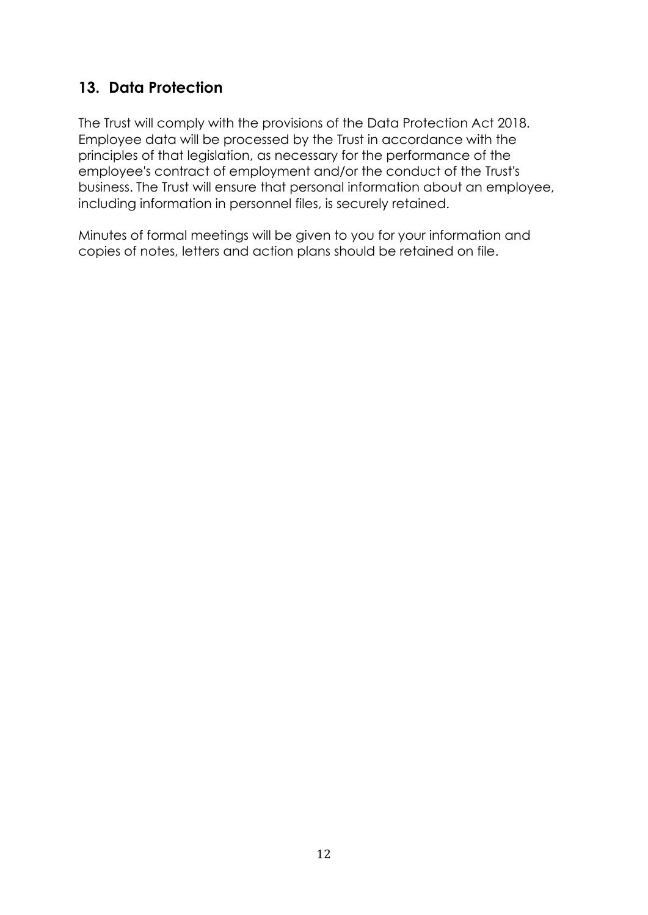## **13. Data Protection**

The Trust will comply with the provisions of the Data Protection Act 2018. Employee data will be processed by the Trust in accordance with the principles of that legislation, as necessary for the performance of the employee's contract of employment and/or the conduct of the Trust's business. The Trust will ensure that personal information about an employee, including information in personnel files, is securely retained.

Minutes of formal meetings will be given to you for your information and copies of notes, letters and action plans should be retained on file.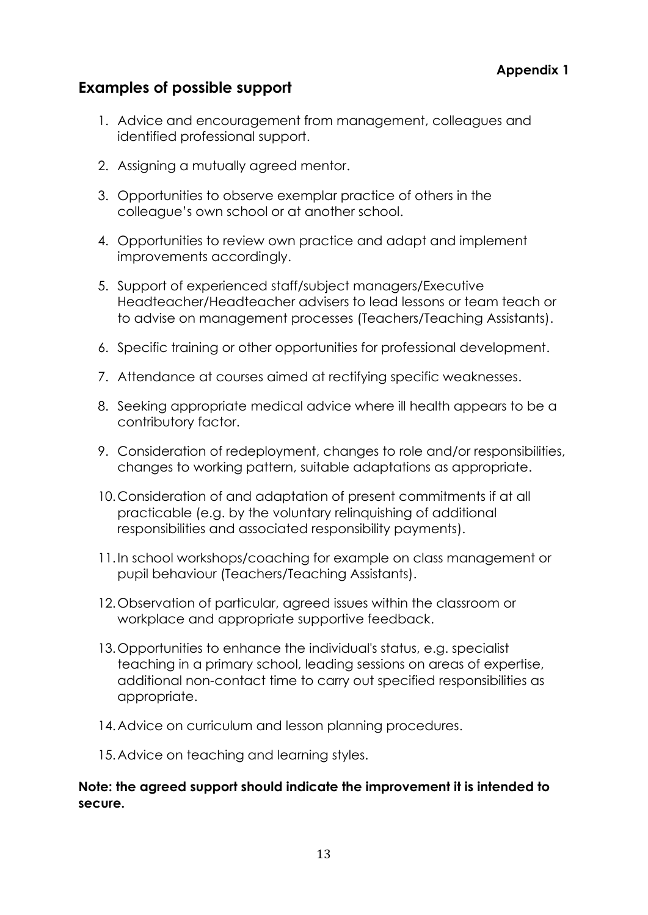#### **Appendix 1**

### **Examples of possible support**

- 1. Advice and encouragement from management, colleagues and identified professional support.
- 2. Assigning a mutually agreed mentor.
- 3. Opportunities to observe exemplar practice of others in the colleague's own school or at another school.
- 4. Opportunities to review own practice and adapt and implement improvements accordingly.
- 5. Support of experienced staff/subject managers/Executive Headteacher/Headteacher advisers to lead lessons or team teach or to advise on management processes (Teachers/Teaching Assistants).
- 6. Specific training or other opportunities for professional development.
- 7. Attendance at courses aimed at rectifying specific weaknesses.
- 8. Seeking appropriate medical advice where ill health appears to be a contributory factor.
- 9. Consideration of redeployment, changes to role and/or responsibilities, changes to working pattern, suitable adaptations as appropriate.
- 10.Consideration of and adaptation of present commitments if at all practicable (e.g. by the voluntary relinquishing of additional responsibilities and associated responsibility payments).
- 11.In school workshops/coaching for example on class management or pupil behaviour (Teachers/Teaching Assistants).
- 12.Observation of particular, agreed issues within the classroom or workplace and appropriate supportive feedback.
- 13.Opportunities to enhance the individual's status, e.g. specialist teaching in a primary school, leading sessions on areas of expertise, additional non-contact time to carry out specified responsibilities as appropriate.
- 14.Advice on curriculum and lesson planning procedures.
- 15.Advice on teaching and learning styles.

#### **Note: the agreed support should indicate the improvement it is intended to secure.**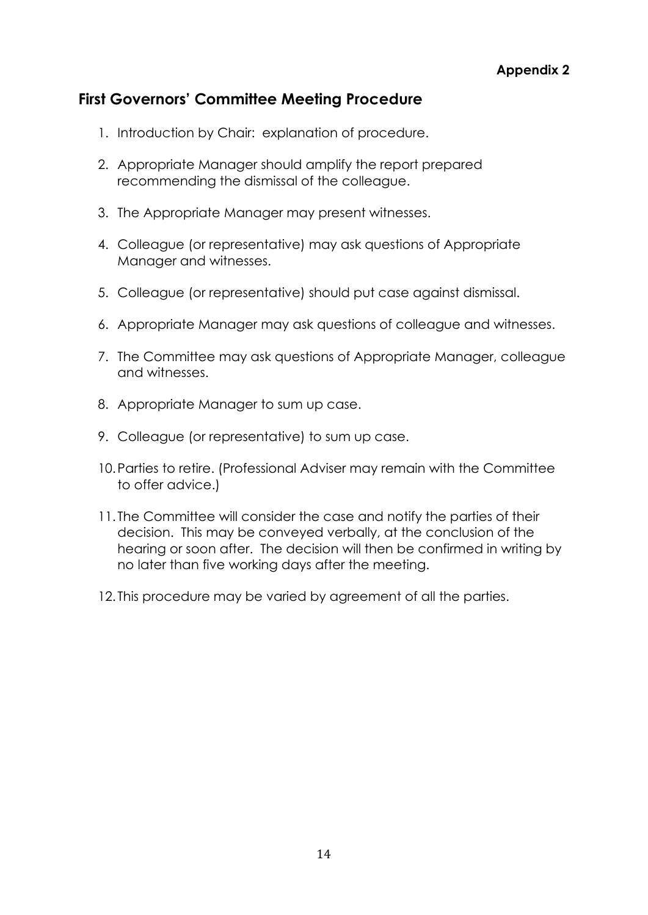## **First Governors' Committee Meeting Procedure**

- 1. Introduction by Chair: explanation of procedure.
- 2. Appropriate Manager should amplify the report prepared recommending the dismissal of the colleague.
- 3. The Appropriate Manager may present witnesses.
- 4. Colleague (or representative) may ask questions of Appropriate Manager and witnesses.
- 5. Colleague (or representative) should put case against dismissal.
- 6. Appropriate Manager may ask questions of colleague and witnesses.
- 7. The Committee may ask questions of Appropriate Manager, colleague and witnesses.
- 8. Appropriate Manager to sum up case.
- 9. Colleague (or representative) to sum up case.
- 10.Parties to retire. (Professional Adviser may remain with the Committee to offer advice.)
- 11. The Committee will consider the case and notify the parties of their decision. This may be conveyed verbally, at the conclusion of the hearing or soon after. The decision will then be confirmed in writing by no later than five working days after the meeting.
- 12. This procedure may be varied by agreement of all the parties.